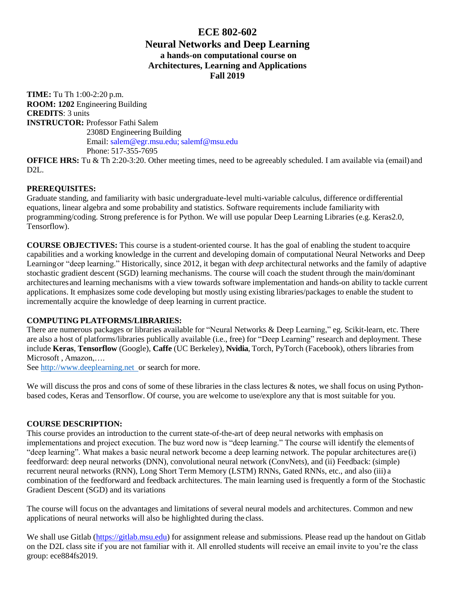# **ECE 802-602 Neural Networks and Deep Learning a hands-on computational course on Architectures, Learning and Applications Fall 2019**

**TIME:** Tu Th 1:00-2:20 p.m. **ROOM: 1202** Engineering Building **CREDITS**: 3 units **INSTRUCTOR:** Professor Fathi Salem 2308D Engineering Building Email: salem@egr.msu.edu; [salemf@msu.edu](mailto:salemf@msu.edu) Phone: 517-355-7695

**OFFICE HRS:** Tu & Th 2:20-3:20. Other meeting times, need to be agreeably scheduled. I am available via (email) and D<sub>2L</sub>

#### **PREREQUISITES:**

Graduate standing, and familiarity with basic undergraduate-level multi-variable calculus, difference ordifferential equations, linear algebra and some probability and statistics. Software requirements include familiarity with programming/coding. Strong preference is for Python. We will use popular Deep Learning Libraries (e.g. Keras2.0, Tensorflow).

**COURSE OBJECTIVES:** This course is a student-oriented course. It has the goal of enabling the student to acquire capabilities and a working knowledge in the current and developing domain of computational Neural Networks and Deep Learningor "deep learning." Historically, since 2012, it began with *deep* architectural networks and the family of adaptive stochastic gradient descent (SGD) learning mechanisms. The course will coach the student through the main/dominant architectures and learning mechanisms with a view towards software implementation and hands-on ability to tackle current applications. It emphasizes some code developing but mostly using existing libraries/packages to enable the student to incrementally acquire the knowledge of deep learning in current practice.

### **COMPUTING PLATFORMS/LIBRARIES:**

There are numerous packages or libraries available for "Neural Networks & Deep Learning," eg. Scikit-learn, etc. There are also a host of platforms/libraries publically available (i.e., free) for "Deep Learning" research and deployment. These include **Keras**, **Tensorflow** (Google), **Caffe** (UC Berkeley), **Nvidia**, Torch, PyTorch (Facebook), others libraries from Microsoft , Amazon,….

See [http://www.deeplearning.net o](http://www.deeplearning.net/)r search for more.

We will discuss the pros and cons of some of these libraries in the class lectures  $\&$  notes, we shall focus on using Pythonbased codes, Keras and Tensorflow. Of course, you are welcome to use/explore any that is most suitable for you.

#### **COURSE DESCRIPTION:**

This course provides an introduction to the current state-of-the-art of deep neural networks with emphasis on implementations and project execution. The buz word now is "deep learning." The course will identify the elementsof "deep learning". What makes a basic neural network become a deep learning network. The popular architectures are(i) feedforward: deep neural networks (DNN), convolutional neural network (ConvNets), and (ii) Feedback: (simple) recurrent neural networks (RNN), Long Short Term Memory (LSTM) RNNs, Gated RNNs, etc., and also (iii) a combination of the feedforward and feedback architectures. The main learning used is frequently a form of the Stochastic Gradient Descent (SGD) and its variations

The course will focus on the advantages and limitations of several neural models and architectures. Common and new applications of neural networks will also be highlighted during the class.

We shall use Gitlab [\(https://gitlab.msu.edu\)](https://gitlab.msu.edu/) for assignment release and submissions. Please read up the handout on Gitlab on the D2L class site if you are not familiar with it. All enrolled students will receive an email invite to you're the class group: ece884fs2019.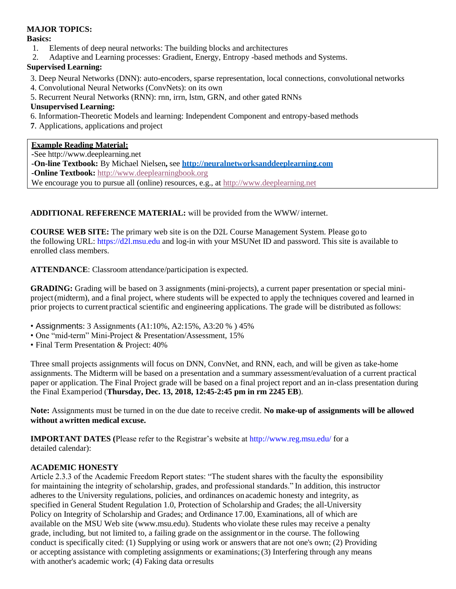# **MAJOR TOPICS:**

#### **Basics:**

- 1. Elements of deep neural networks: The building blocks and architectures
- 2. Adaptive and Learning processes: Gradient, Energy, Entropy -based methods and Systems.

# **Supervised Learning:**

- 3. Deep Neural Networks (DNN): auto-encoders, sparse representation, local connections, convolutional networks
- 4. Convolutional Neural Networks (ConvNets): on its own
- 5. Recurrent Neural Networks (RNN): rnn, irrn, lstm, GRN, and other gated RNNs

### **Unsupervised Learning:**

- 6. Information-Theoretic Models and learning: Independent Component and entropy-based methods
- **7**. Applications, applications and project

# **Example Reading Material:**

**-**See [http://www.deeplearning.net](http://www.deeplearning.net/) **-On-line Textbook:** By Michael Nielsen**,** see **[http://neuralnetworksanddeeplearning.com](http://neuralnetworksanddeeplearning.com/) -Online Textbook:** [http://www.deeplearningbook.org](http://www.deeplearningbook.org/) We encourage you to pursue all (online) resources, e.g., at [http://www.deeplearning.net](http://www.deeplearning.net/)

# **ADDITIONAL REFERENCE MATERIAL:** will be provided from the WWW/ internet.

**COURSE WEB SITE:** The primary web site is on the D2L Course Management System. Please go to the following URL: https://d2l.msu.edu and log-in with your MSUNet ID and password. This site is available to enrolled class members.

**ATTENDANCE**: Classroom attendance/participation is expected.

**GRADING:** Grading will be based on 3 assignments (mini-projects), a current paper presentation or special miniproject(midterm), and a final project, where students will be expected to apply the techniques covered and learned in prior projects to current practical scientific and engineering applications. The grade will be distributed as follows:

- Assignments: 3 Assignments (A1:10%, A2:15%, A3:20 % ) 45%
- One "mid-term" Mini-Project & Presentation/Assessment, 15%
- Final Term Presentation & Project: 40%

Three small projects assignments will focus on DNN, ConvNet, and RNN, each, and will be given as take-home assignments. The Midterm will be based on a presentation and a summary assessment/evaluation of a current practical paper or application. The Final Project grade will be based on a final project report and an in-class presentation during the Final Examperiod (**Thursday, Dec. 13, 2018, 12:45-2:45 pm in rm 2245 EB**).

**Note:** Assignments must be turned in on the due date to receive credit. **No make-up of assignments will be allowed without awritten medical excuse.**

**IMPORTANT DATES (**Please refer to the Registrar's website at<http://www.reg.msu.edu/> for a detailed calendar):

### **ACADEMIC HONESTY**

Article 2.3.3 of the Academic Freedom Report states: "The student shares with the faculty the esponsibility for maintaining the integrity of scholarship, grades, and professional standards." In addition, this instructor adheres to the University regulations, policies, and ordinances on academic honesty and integrity, as specified in General Student Regulation 1.0, Protection of Scholarship and Grades; the all-University Policy on Integrity of Scholarship and Grades; and Ordinance 17.00, Examinations, all of which are available on the MSU Web site (www.msu.edu). Students who violate these rules may receive a penalty grade, including, but not limited to, a failing grade on the assignmentor in the course. The following conduct is specifically cited: (1) Supplying or using work or answers that are not one's own; (2) Providing or accepting assistance with completing assignments or examinations;(3) Interfering through any means with another's academic work; (4) Faking data or results